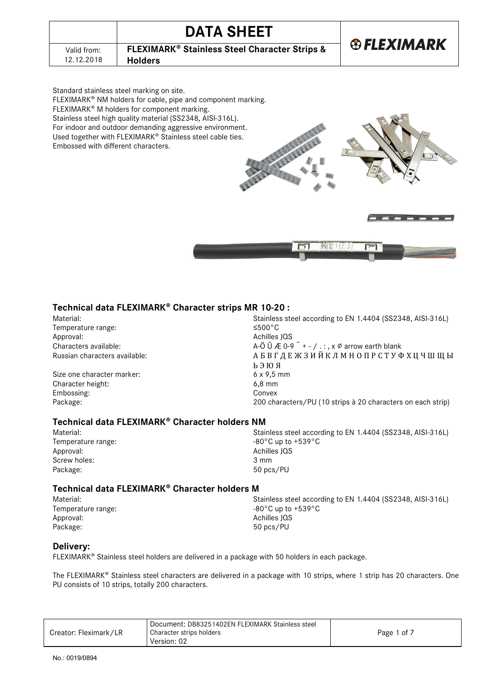|             | <b>DATA SHEET</b>                                                   |                   |
|-------------|---------------------------------------------------------------------|-------------------|
| Valid from: | <b>FLEXIMARK<sup>®</sup> Stainless Steel Character Strips &amp;</b> | <b>®FLEXIMARK</b> |
| 12.12.2018  | <b>Holders</b>                                                      |                   |

Standard stainless steel marking on site. FLEXIMARK® NM holders for cable, pipe and component marking. FLEXIMARK<sup>®</sup> M holders for component marking. Stainless steel high quality material (SS2348, AISI-316L). For indoor and outdoor demanding aggressive environment. Used together with FLEXIMARK® Stainless steel cable ties. Embossed with different characters.



## **Technical data FLEXIMARK Character strips MR 10-20 :**

Temperature range:<br>Approval: Approval:<br>
Characters available:<br>
Characters available:<br>
Characters available:

Size one character marker: Character height: 6,8 mm Embossing: Convex

Material:<br>
Stainless steel according to EN 1.4404 (SS2348, AISI-316L)<br>
Stainless steel according to EN 1.4404 (SS2348, AISI-316L) A-Ö Ü Æ 0-9  $+$  - / . : , x Ø arrow earth blank Russian characters available: В Саранов В С Д Е Ж З И Й К Л М Н О П Р С Т У Ф Х Ц Ч Ш Щ Ы Ь Э Ю Я Package: 200 characters/PU (10 strips à 20 characters on each strip)

## **Technical data FLEXIMARK<sup>®</sup> Character holders NM**

| Material:                                                    | Stainless steel according to EN 1.4404 (SS2348, AISI-316L) |  |
|--------------------------------------------------------------|------------------------------------------------------------|--|
| $-80^{\circ}$ C up to $+539^{\circ}$ C<br>Temperature range: |                                                            |  |
| Approval:                                                    | Achilles JQS                                               |  |
| Screw holes:                                                 | 3 mm                                                       |  |
| Package:                                                     | 50 pcs/PU                                                  |  |
|                                                              |                                                            |  |

### Technical data FLEXIMARK<sup>®</sup> Character holders M

Temperature range:<br>Approval: Package: 50 pcs/PU

Material: Stainless steel according to EN 1.4404 (SS2348, AISI-316L)<br>Temperature range: Temperature range:  $-80^{\circ}$ C up to +539°C Achilles JQS

### **Delivery:**

FLEXIMARK<sup>®</sup> Stainless steel holders are delivered in a package with 50 holders in each package.

The FLEXIMARK® Stainless steel characters are delivered in a package with 10 strips, where 1 strip has 20 characters. One PU consists of 10 strips, totally 200 characters.

|                       | Document: DB83251402EN FLEXIMARK Stainless steel |             |
|-----------------------|--------------------------------------------------|-------------|
| Creator: Fleximark/LR | Character strips holders                         | Page 1 of 7 |
|                       | Version: 02                                      |             |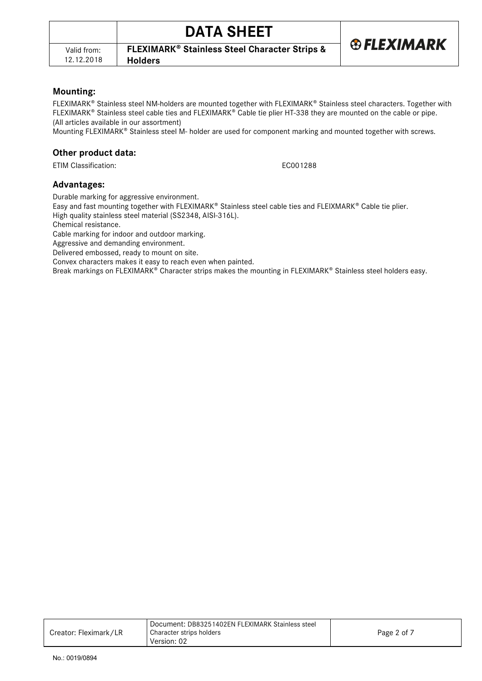**®FLEXIMARK** 

## **Mounting:**

FLEXIMARK<sup>®</sup> Stainless steel NM-holders are mounted together with FLEXIMARK® Stainless steel characters. Together with FLEXIMARK<sup>®</sup> Stainless steel cable ties and FLEXIMARK<sup>®</sup> Cable tie plier HT-338 they are mounted on the cable or pipe. (All articles available in our assortment)

Mounting FLEXIMARK® Stainless steel M- holder are used for component marking and mounted together with screws.

## **Other product data:**

ETIM Classification: ECO01288

## **Advantages:**

Durable marking for aggressive environment.

**Holders**

Easy and fast mounting together with FLEXIMARK® Stainless steel cable ties and FLEIXMARK® Cable tie plier. High quality stainless steel material (SS2348, AISI-316L).

Chemical resistance.

Cable marking for indoor and outdoor marking.

Aggressive and demanding environment.

Delivered embossed, ready to mount on site.

Convex characters makes it easy to reach even when painted.

Break markings on FLEXIMARK<sup>®</sup> Character strips makes the mounting in FLEXIMARK<sup>®</sup> Stainless steel holders easy.

|                       | Document: DB83251402EN FLEXIMARK Stainless steel |             |
|-----------------------|--------------------------------------------------|-------------|
| Creator: Fleximark/LR | Character strips holders<br>Version: 02          | Page 2 of 7 |
|                       |                                                  |             |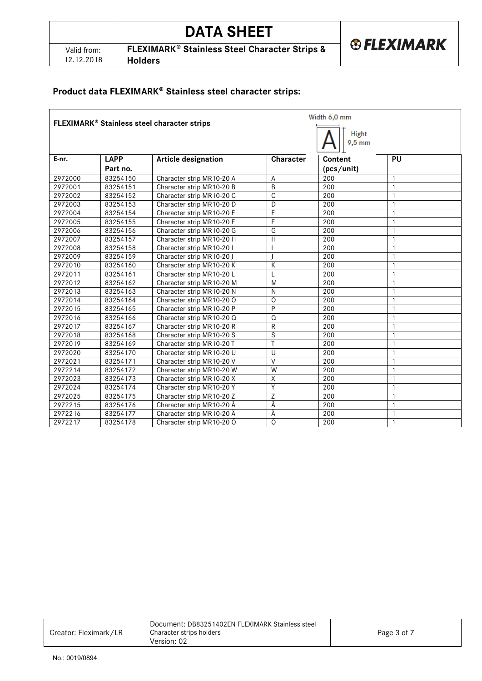|                           | <b>DATA SHEET</b>                                                                     |                        |
|---------------------------|---------------------------------------------------------------------------------------|------------------------|
| Valid from:<br>12.12.2018 | <b>FLEXIMARK<sup>®</sup> Stainless Steel Character Strips &amp;</b><br><b>Holders</b> | <b>&amp; FLEXIMARK</b> |

# **Product data FLEXIMARK Stainless steel character strips:**

|         | Width 6,0 mm<br>FLEXIMARK® Stainless steel character strips |                            |                         |                          |                |
|---------|-------------------------------------------------------------|----------------------------|-------------------------|--------------------------|----------------|
|         |                                                             |                            |                         | <b>Hight</b><br>$9,5$ mm |                |
| E-nr.   | <b>LAPP</b>                                                 | <b>Article designation</b> | Character               | Content                  | PU             |
|         | Part no.                                                    |                            |                         | (pcs/unit)               |                |
| 2972000 | 83254150                                                    | Character strip MR10-20 A  | A                       | 200                      | $\mathbf{1}$   |
| 2972001 | 83254151                                                    | Character strip MR10-20 B  | B                       | 200                      | $\mathbf{1}$   |
| 2972002 | 83254152                                                    | Character strip MR10-20 C  | C                       | 200                      | 1              |
| 2972003 | 83254153                                                    | Character strip MR10-20 D  | D                       | 200                      | $\mathbf{1}$   |
| 2972004 | 83254154                                                    | Character strip MR10-20 E  | $\overline{E}$          | 200                      | $\mathbf{1}$   |
| 2972005 | 83254155                                                    | Character strip MR10-20 F  | F                       | 200                      | $\mathbf{1}$   |
| 2972006 | 83254156                                                    | Character strip MR10-20 G  | G                       | 200                      | $\mathbf{1}$   |
| 2972007 | 83254157                                                    | Character strip MR10-20 H  | $\overline{H}$          | 200                      | $\mathbf{1}$   |
| 2972008 | 83254158                                                    | Character strip MR10-201   |                         | 200                      | $\mathbf{1}$   |
| 2972009 | 83254159                                                    | Character strip MR10-20 J  |                         | 200                      | $\mathbf{1}$   |
| 2972010 | 83254160                                                    | Character strip MR10-20 K  | K                       | 200                      | 1              |
| 2972011 | 83254161                                                    | Character strip MR10-20 L  | L                       | 200                      | $\mathbf{1}$   |
| 2972012 | 83254162                                                    | Character strip MR10-20 M  | M                       | 200                      | $\mathbf{1}$   |
| 2972013 | 83254163                                                    | Character strip MR10-20 N  | N                       | 200                      | $\mathbf{1}$   |
| 2972014 | 83254164                                                    | Character strip MR10-20 O  | $\Omega$                | 200                      | $\mathbf{1}$   |
| 2972015 | 83254165                                                    | Character strip MR10-20 P  | P                       | 200                      | $\overline{1}$ |
| 2972016 | 83254166                                                    | Character strip MR10-20 Q  | $\Omega$                | 200                      | $\mathbf{1}$   |
| 2972017 | 83254167                                                    | Character strip MR10-20 R  | R                       | 200                      | $\mathbf{1}$   |
| 2972018 | 83254168                                                    | Character strip MR10-20 S  | S                       | 200                      | 1              |
| 2972019 | 83254169                                                    | Character strip MR10-20 T  | Ŧ                       | 200                      | $\mathbf{1}$   |
| 2972020 | 83254170                                                    | Character strip MR10-20 U  | $\cup$                  | 200                      | $\mathbf{1}$   |
| 2972021 | 83254171                                                    | Character strip MR10-20 V  | $\overline{V}$          | 200                      | $\mathbf{1}$   |
| 2972214 | 83254172                                                    | Character strip MR10-20 W  | $\overline{W}$          | 200                      | $\mathbf{1}$   |
| 2972023 | 83254173                                                    | Character strip MR10-20 X  | $\overline{\mathsf{X}}$ | 200                      | $\mathbf{1}$   |
| 2972024 | 83254174                                                    | Character strip MR10-20 Y  | Ÿ                       | 200                      | $\mathbf{1}$   |
| 2972025 | 83254175                                                    | Character strip MR10-20 Z  | Z                       | 200                      | $\mathbf{1}$   |
| 2972215 | 83254176                                                    | Character strip MR10-20 Å  | Å                       | 200                      | $\mathbf{1}$   |
| 2972216 | 83254177                                                    | Character strip MR10-20 A  | A                       | 200                      | 1              |
| 2972217 | 83254178                                                    | Character strip MR10-20 O  | Ö                       | 200                      | $\mathbf{1}$   |

|                       | Document: DB83251402EN FLEXIMARK Stainless steel |             |
|-----------------------|--------------------------------------------------|-------------|
| Creator: Fleximark/LR | Character strips holders                         | Page 3 of 7 |
|                       | Version: 02                                      |             |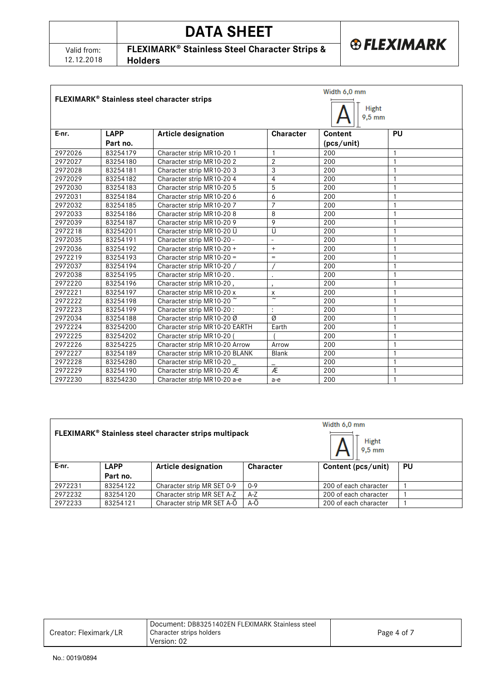| Valid from: |
|-------------|
| 12.12.2018  |

# **DATA SHEET**

*®FLEXIMARK* 

**FLEXIMARK<sup>®</sup> Stainless Steel Character Strips &** 

**Holders**

|         |                         | FLEXIMARK® Stainless steel character strips |                          | Width 6,0 mm<br>Hight<br>$9,5$ mm |              |
|---------|-------------------------|---------------------------------------------|--------------------------|-----------------------------------|--------------|
| E-nr.   | <b>LAPP</b><br>Part no. | <b>Article designation</b>                  | <b>Character</b>         | Content<br>(pcs/unit)             | <b>PU</b>    |
|         |                         |                                             |                          |                                   |              |
| 2972026 | 83254179                | Character strip MR10-20 1                   | $\mathbf{1}$             | 200                               | 1            |
| 2972027 | 83254180                | Character strip MR10-202                    | $\overline{2}$           | 200                               | $\mathbf{1}$ |
| 2972028 | 83254181                | Character strip MR10-203                    | 3                        | 200                               | $\mathbf{1}$ |
| 2972029 | 83254182                | Character strip MR10-20 4                   | $\overline{4}$           | 200                               | $\mathbf{1}$ |
| 2972030 | 83254183                | Character strip MR10-20 5                   | 5                        | 200                               | $\mathbf{1}$ |
| 2972031 | 83254184                | Character strip MR10-20 6                   | 6                        | 200                               | $\mathbf{1}$ |
| 2972032 | 83254185                | Character strip MR10-207                    | 7                        | 200                               | $\mathbf{1}$ |
| 2972033 | 83254186                | Character strip MR10-208                    | 8                        | 200                               | $\mathbf{1}$ |
| 2972039 | 83254187                | Character strip MR10-20 9                   | 9                        | 200                               | $\mathbf{1}$ |
| 2972218 | 83254201                | Character strip MR10-20 U                   | Ü                        | 200                               | 1            |
| 2972035 | 83254191                | Character strip MR10-20 -                   | $\overline{a}$           | 200                               | $\mathbf{1}$ |
| 2972036 | 83254192                | Character strip MR10-20 +                   | $\ddot{}$                | 200                               | 1            |
| 2972219 | 83254193                | Character strip $MR10-20 =$                 | $=$                      | 200                               | $\mathbf{1}$ |
| 2972037 | 83254194                | Character strip MR10-20 /                   |                          | 200                               | $\mathbf{1}$ |
| 2972038 | 83254195                | Character strip MR10-20.                    | $\ddot{\phantom{0}}$     | 200                               | $\mathbf{1}$ |
| 2972220 | 83254196                | Character strip MR10-20,                    | $\overline{\phantom{a}}$ | 200                               | $\mathbf{1}$ |
| 2972221 | 83254197                | Character strip MR10-20 x                   | x                        | 200                               | 1            |
| 2972222 | 83254198                | Character strip MR10-20 ~                   | $\overline{\phantom{a}}$ | 200                               | 1            |
| 2972223 | 83254199                | Character strip MR10-20:                    | $\ddot{\cdot}$           | 200                               | $\mathbf{1}$ |
| 2972034 | 83254188                | Character strip MR10-20 Ø                   | Ø                        | 200                               | $\mathbf{1}$ |
| 2972224 | 83254200                | Character strip MR10-20 EARTH               | Earth                    | 200                               | $\mathbf{1}$ |
| 2972225 | 83254202                | Character strip MR10-20                     |                          | 200                               | $\mathbf{1}$ |
| 2972226 | 83254225                | Character strip MR10-20 Arrow               | Arrow                    | 200                               | $\mathbf{1}$ |
| 2972227 | 83254189                | Character strip MR10-20 BLANK               | Blank                    | 200                               | $\mathbf{1}$ |
| 2972228 | 83254280                | Character strip MR10-20                     |                          | 200                               | $\mathbf{1}$ |
| 2972229 | 83254190                | Character strip MR10-20 Æ                   | Æ                        | 200                               | $\mathbf{1}$ |
| 2972230 | 83254230                | Character strip MR10-20 a-e                 | $a-e$                    | 200                               | $\mathbf{1}$ |

|         |          | FLEXIMARK® Stainless steel character strips multipack |                  | Width 6.0 mm<br><b>Hight</b><br>$9,5$ mm |           |
|---------|----------|-------------------------------------------------------|------------------|------------------------------------------|-----------|
| E-nr.   | LAPP     | <b>Article designation</b>                            | <b>Character</b> | Content (pcs/unit)                       | <b>PU</b> |
|         | Part no. |                                                       |                  |                                          |           |
| 2972231 | 83254122 | Character strip MR SET 0-9                            | $0 - 9$          | 200 of each character                    |           |
| 2972232 | 83254120 | Character strip MR SET A-Z                            | $A-Z$            | 200 of each character                    |           |
| 2972233 | 83254121 | Character strip MR SET A-O                            | $A-O$            | 200 of each character                    |           |

| Creator: Fleximark/LR | Document: DB83251402EN FLEXIMARK Stainless steel<br>Character strips holders<br>Version: 02 | Page 4 of 7 |
|-----------------------|---------------------------------------------------------------------------------------------|-------------|
|                       |                                                                                             |             |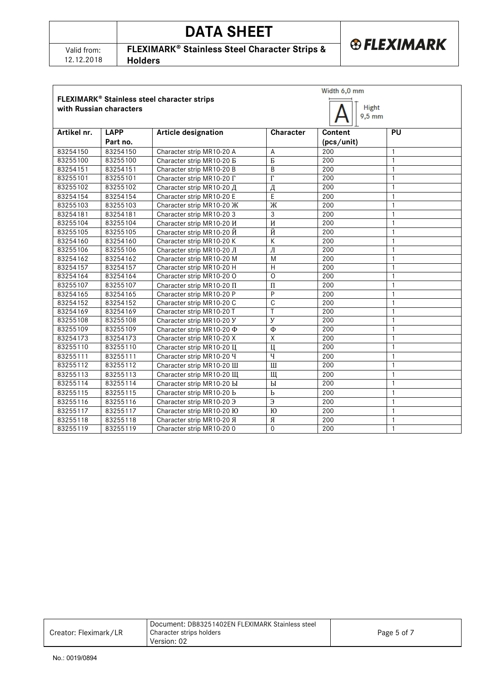| Valid from: |
|-------------|
| 12.12.2018  |

# **DATA SHEET**



**FLEXIMARK<sup>®</sup> Stainless Steel Character Strips &** 

**Holders**

|                                                                                             |             |                                     | Width 6,0 mm            |            |              |  |
|---------------------------------------------------------------------------------------------|-------------|-------------------------------------|-------------------------|------------|--------------|--|
| FLEXIMARK® Stainless steel character strips<br>Hight<br>with Russian characters<br>$9,5$ mm |             |                                     |                         |            |              |  |
| Artikel nr.                                                                                 | <b>LAPP</b> | <b>Article designation</b>          | Character               | Content    | PU           |  |
|                                                                                             | Part no.    |                                     |                         | (pcs/unit) |              |  |
| 83254150                                                                                    | 83254150    | Character strip MR10-20 A           | A                       | 200        | $\mathbf{1}$ |  |
| 83255100                                                                                    | 83255100    | Character strip MR10-20 B           | $\overline{b}$          | 200        | $\mathbf{1}$ |  |
| 83254151                                                                                    | 83254151    | Character strip MR10-20 B           | B                       | 200        | $\mathbf{1}$ |  |
| 83255101                                                                                    | 83255101    | Character strip MR10-20 $\Gamma$    | $\Gamma$                | 200        | $\mathbf{1}$ |  |
| 83255102                                                                                    | 83255102    | Character strip MR10-20 Д           | Д                       | 200        | $\mathbf{1}$ |  |
| 83254154                                                                                    | 83254154    | Character strip MR10-20 E           | E                       | 200        | $\mathbf{1}$ |  |
| 83255103                                                                                    | 83255103    | Character strip MR10-20 Ж           | Ж                       | 200        | $\mathbf{1}$ |  |
| 83254181                                                                                    | 83254181    | Character strip MR10-203            | 3                       | 200        | $\mathbf{1}$ |  |
| 83255104                                                                                    | 83255104    | Character strip MR10-20 <i>H</i>    | И                       | 200        | 1            |  |
| 83255105                                                                                    | 83255105    | Character strip MR10-20 $\check{M}$ | Й                       | 200        | 1            |  |
| 83254160                                                                                    | 83254160    | Character strip MR10-20 K           | $\overline{\mathsf{K}}$ | 200        | $\mathbf{1}$ |  |
| 83255106                                                                                    | 83255106    | Character strip MR10-20 Л           | Л                       | 200        | $\mathbf{1}$ |  |
| 83254162                                                                                    | 83254162    | Character strip MR10-20 M           | M                       | 200        | $\mathbf{1}$ |  |
| 83254157                                                                                    | 83254157    | Character strip MR10-20 H           | $\overline{\mathsf{H}}$ | 200        | $\mathbf{1}$ |  |
| 83254164                                                                                    | 83254164    | Character strip MR10-20 O           | $\overline{0}$          | 200        | $\mathbf{1}$ |  |
| 83255107                                                                                    | 83255107    | Character strip MR10-20 II          | $\prod$                 | 200        | $\mathbf{1}$ |  |
| 83254165                                                                                    | 83254165    | Character strip MR10-20 P           | P                       | 200        | $\mathbf{1}$ |  |
| 83254152                                                                                    | 83254152    | Character strip MR10-20 C           | $\overline{C}$          | 200        | $\mathbf{1}$ |  |
| 83254169                                                                                    | 83254169    | Character strip MR10-20 T           | T                       | 200        | $\mathbf{1}$ |  |
| 83255108                                                                                    | 83255108    | Character strip MR10-20 Y           | $\mathbf{y}$            | 200        | $\mathbf{1}$ |  |
| 83255109                                                                                    | 83255109    | Character strip MR10-20 Ф           | Φ                       | 200        | $\mathbf{1}$ |  |
| 83254173                                                                                    | 83254173    | Character strip MR10-20 X           | Χ                       | 200        | $\mathbf{1}$ |  |
| 83255110                                                                                    | 83255110    | Character strip MR10-20 LI          | Ц                       | 200        | $\mathbf{1}$ |  |
| 83255111                                                                                    | 83255111    | Character strip MR10-20 Y           | $\overline{q}$          | 200        | $\mathbf{1}$ |  |
| 83255112                                                                                    | 83255112    | Character strip MR10-20 III         | $\overline{\mathbb{H}}$ | 200        | $\mathbf{1}$ |  |
| 83255113                                                                                    | 83255113    | Character strip MR10-20 III         | Щ                       | 200        | $\mathbf{1}$ |  |
| 83255114                                                                                    | 83255114    | Character strip MR10-20 bl          | $\mathbf{bl}$           | 200        | $\mathbf{1}$ |  |
| 83255115                                                                                    | 83255115    | Character strip MR10-20 b           | $\mathbf b$             | 200        | $\mathbf{1}$ |  |
| 83255116                                                                                    | 83255116    | Character strip MR10-20 3           | Э                       | 200        | $\mathbf{1}$ |  |
| 83255117                                                                                    | 83255117    | Character strip MR10-20 IO          | Ю                       | 200        | $\mathbf{1}$ |  |
| 83255118                                                                                    | 83255118    | Character strip MR10-20 Я           | Я                       | 200        | $\mathbf{1}$ |  |
| 83255119                                                                                    | 83255119    | Character strip MR10-200            | $\Omega$                | 200        | 1            |  |
|                                                                                             |             |                                     |                         |            |              |  |

| Creator: Fleximark/LR | Document: DB83251402EN FLEXIMARK Stainless steel<br>Character strips holders<br>Version: 02 | Page 5 of 7 |
|-----------------------|---------------------------------------------------------------------------------------------|-------------|
|-----------------------|---------------------------------------------------------------------------------------------|-------------|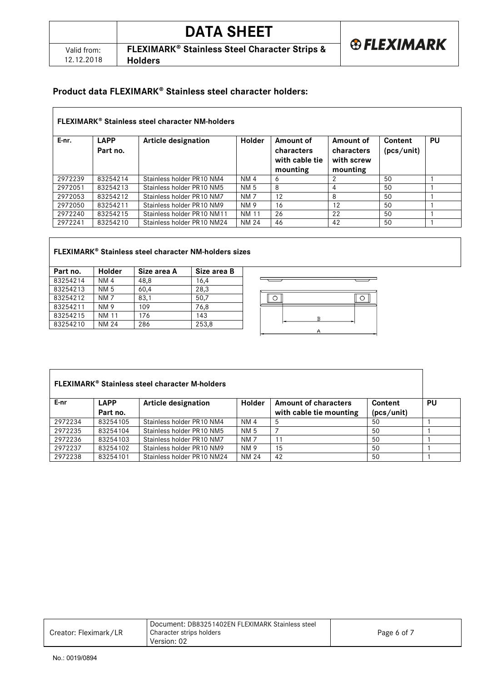|                           | <b>DATA SHEET</b>                                                                     |                        |
|---------------------------|---------------------------------------------------------------------------------------|------------------------|
| Valid from:<br>12.12.2018 | <b>FLEXIMARK<sup>®</sup> Stainless Steel Character Strips &amp;</b><br><b>Holders</b> | <b>&amp; FLEXIMARK</b> |
|                           |                                                                                       |                        |

# Product data FLEXIMARK® Stainless steel character holders:

| <b>FLEXIMARK<sup>®</sup> Stainless steel character NM-holders</b> |                         |                            |               |                                                       |                                                   |                       |    |
|-------------------------------------------------------------------|-------------------------|----------------------------|---------------|-------------------------------------------------------|---------------------------------------------------|-----------------------|----|
| E-nr.                                                             | <b>LAPP</b><br>Part no. | Article designation        | <b>Holder</b> | Amount of<br>characters<br>with cable tie<br>mounting | Amount of<br>characters<br>with screw<br>mounting | Content<br>(pcs/unit) | PU |
| 2972239                                                           | 83254214                | Stainless holder PR10 NM4  | <b>NM4</b>    | 6                                                     | 2                                                 | 50                    |    |
| 2972051                                                           | 83254213                | Stainless holder PR10 NM5  | NM 5          | 8                                                     | 4                                                 | 50                    |    |
| 2972053                                                           | 83254212                | Stainless holder PR10 NM7  | <b>NM7</b>    | 12                                                    | 8                                                 | 50                    |    |
| 2972050                                                           | 83254211                | Stainless holder PR10 NM9  | <b>NM9</b>    | 16                                                    | 12                                                | 50                    |    |
| 2972240                                                           | 83254215                | Stainless holder PR10 NM11 | <b>NM 11</b>  | 26                                                    | 22                                                | 50                    |    |
| 2972241                                                           | 83254210                | Stainless holder PR10 NM24 | <b>NM 24</b>  | 46                                                    | 42                                                | 50                    |    |

# **FLEXIMARK Stainless steel character NM-holders sizes**

| Part no. | <b>Holder</b> | Size area A | Size area B |
|----------|---------------|-------------|-------------|
| 83254214 | <b>NM4</b>    | 48,8        | 16,4        |
| 83254213 | <b>NM 5</b>   | 60.4        | 28,3        |
| 83254212 | <b>NM7</b>    | 83.1        | 50.7        |
| 83254211 | <b>NM9</b>    | 109         | 76.8        |
| 83254215 | <b>NM 11</b>  | 176         | 143         |
| 83254210 | <b>NM 24</b>  | 286         | 253,8       |



| <b>FLEXIMARK<sup>®</sup> Stainless steel character M-holders</b> |                         |                            |                 |                                                        |                       |    |
|------------------------------------------------------------------|-------------------------|----------------------------|-----------------|--------------------------------------------------------|-----------------------|----|
| E-nr                                                             | <b>LAPP</b><br>Part no. | <b>Article designation</b> | <b>Holder</b>   | <b>Amount of characters</b><br>with cable tie mounting | Content<br>(pcs/unit) | PU |
| 2972234                                                          | 83254105                | Stainless holder PR10 NM4  | NM 4            | 5                                                      | 50                    |    |
| 2972235                                                          | 83254104                | Stainless holder PR10 NM5  | NM 5            |                                                        | 50                    |    |
| 2972236                                                          | 83254103                | Stainless holder PR10 NM7  | NM <sub>7</sub> | 11                                                     | 50                    |    |
| 2972237                                                          | 83254102                | Stainless holder PR10 NM9  | <b>NM 9</b>     | 15                                                     | 50                    |    |
| 2972238                                                          | 83254101                | Stainless holder PR10 NM24 | NM 24           | 42                                                     | 50                    |    |

| Creator: Fleximark/LR | Document: DB83251402EN FLEXIMARK Stainless steel<br>Character strips holders<br>Version: 02 | Page 6 of 7 |
|-----------------------|---------------------------------------------------------------------------------------------|-------------|
|-----------------------|---------------------------------------------------------------------------------------------|-------------|